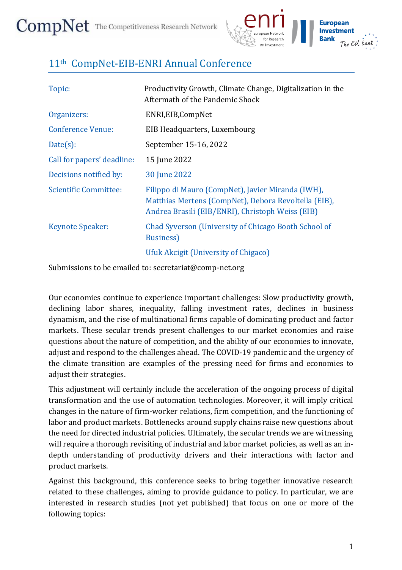

## 11th CompNet-EIB-ENRI Annual Conference

| Topic:                       | Productivity Growth, Climate Change, Digitalization in the<br>Aftermath of the Pandemic Shock                                                                 |
|------------------------------|---------------------------------------------------------------------------------------------------------------------------------------------------------------|
| Organizers:                  | ENRI, EIB, CompNet                                                                                                                                            |
| <b>Conference Venue:</b>     | EIB Headquarters, Luxembourg                                                                                                                                  |
| $Date(s)$ :                  | September 15-16, 2022                                                                                                                                         |
| Call for papers' deadline:   | 15 June 2022                                                                                                                                                  |
| Decisions notified by:       | 30 June 2022                                                                                                                                                  |
| <b>Scientific Committee:</b> | Filippo di Mauro (CompNet), Javier Miranda (IWH),<br>Matthias Mertens (CompNet), Debora Revoltella (EIB),<br>Andrea Brasili (EIB/ENRI), Christoph Weiss (EIB) |
| <b>Keynote Speaker:</b>      | Chad Syverson (University of Chicago Booth School of<br><b>Business</b> )                                                                                     |
|                              | Ufuk Akcigit (University of Chigaco)                                                                                                                          |

Submissions to be emailed to: secretariat@comp-net.org

Our economies continue to experience important challenges: Slow productivity growth, declining labor shares, inequality, falling investment rates, declines in business dynamism, and the rise of multinational firms capable of dominating product and factor markets. These secular trends present challenges to our market economies and raise questions about the nature of competition, and the ability of our economies to innovate, adjust and respond to the challenges ahead. The COVID-19 pandemic and the urgency of the climate transition are examples of the pressing need for firms and economies to adjust their strategies.

This adjustment will certainly include the acceleration of the ongoing process of digital transformation and the use of automation technologies. Moreover, it will imply critical changes in the nature of firm-worker relations, firm competition, and the functioning of labor and product markets. Bottlenecks around supply chains raise new questions about the need for directed industrial policies. Ultimately, the secular trends we are witnessing will require a thorough revisiting of industrial and labor market policies, as well as an indepth understanding of productivity drivers and their interactions with factor and product markets.

Against this background, this conference seeks to bring together innovative research related to these challenges, aiming to provide guidance to policy. In particular, we are interested in research studies (not yet published) that focus on one or more of the following topics: